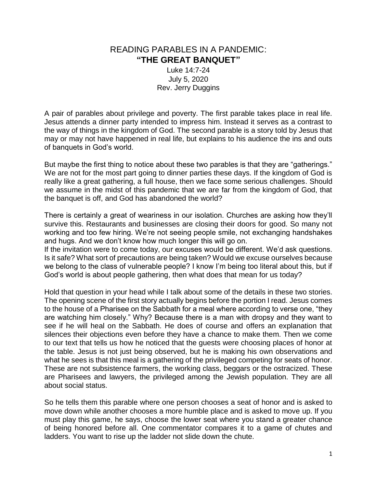## READING PARABLES IN A PANDEMIC: **"THE GREAT BANQUET"**

Luke 14:7-24 July 5, 2020 Rev. Jerry Duggins

A pair of parables about privilege and poverty. The first parable takes place in real life. Jesus attends a dinner party intended to impress him. Instead it serves as a contrast to the way of things in the kingdom of God. The second parable is a story told by Jesus that may or may not have happened in real life, but explains to his audience the ins and outs of banquets in God's world.

But maybe the first thing to notice about these two parables is that they are "gatherings." We are not for the most part going to dinner parties these days. If the kingdom of God is really like a great gathering, a full house, then we face some serious challenges. Should we assume in the midst of this pandemic that we are far from the kingdom of God, that the banquet is off, and God has abandoned the world?

There is certainly a great of weariness in our isolation. Churches are asking how they'll survive this. Restaurants and businesses are closing their doors for good. So many not working and too few hiring. We're not seeing people smile, not exchanging handshakes and hugs. And we don't know how much longer this will go on.

If the invitation were to come today, our excuses would be different. We'd ask questions. Is it safe? What sort of precautions are being taken? Would we excuse ourselves because we belong to the class of vulnerable people? I know I'm being too literal about this, but if God's world is about people gathering, then what does that mean for us today?

Hold that question in your head while I talk about some of the details in these two stories. The opening scene of the first story actually begins before the portion I read. Jesus comes to the house of a Pharisee on the Sabbath for a meal where according to verse one, "they are watching him closely." Why? Because there is a man with dropsy and they want to see if he will heal on the Sabbath. He does of course and offers an explanation that silences their objections even before they have a chance to make them. Then we come to our text that tells us how he noticed that the guests were choosing places of honor at the table. Jesus is not just being observed, but he is making his own observations and what he sees is that this meal is a gathering of the privileged competing for seats of honor. These are not subsistence farmers, the working class, beggars or the ostracized. These are Pharisees and lawyers, the privileged among the Jewish population. They are all about social status.

So he tells them this parable where one person chooses a seat of honor and is asked to move down while another chooses a more humble place and is asked to move up. If you must play this game, he says, choose the lower seat where you stand a greater chance of being honored before all. One commentator compares it to a game of chutes and ladders. You want to rise up the ladder not slide down the chute.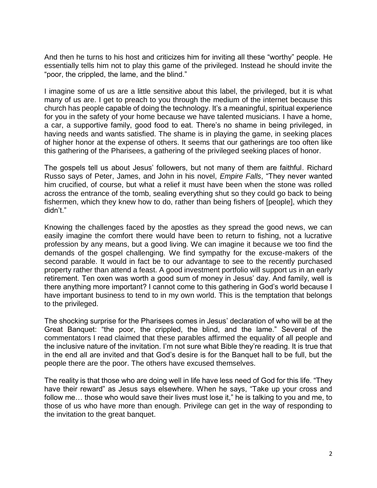And then he turns to his host and criticizes him for inviting all these "worthy" people. He essentially tells him not to play this game of the privileged. Instead he should invite the "poor, the crippled, the lame, and the blind."

I imagine some of us are a little sensitive about this label, the privileged, but it is what many of us are. I get to preach to you through the medium of the internet because this church has people capable of doing the technology. It's a meaningful, spiritual experience for you in the safety of your home because we have talented musicians. I have a home, a car, a supportive family, good food to eat. There's no shame in being privileged, in having needs and wants satisfied. The shame is in playing the game, in seeking places of higher honor at the expense of others. It seems that our gatherings are too often like this gathering of the Pharisees, a gathering of the privileged seeking places of honor.

The gospels tell us about Jesus' followers, but not many of them are faithful. Richard Russo says of Peter, James, and John in his novel, *Empire Falls*, "They never wanted him crucified, of course, but what a relief it must have been when the stone was rolled across the entrance of the tomb, sealing everything shut so they could go back to being fishermen, which they knew how to do, rather than being fishers of [people], which they didn't."

Knowing the challenges faced by the apostles as they spread the good news, we can easily imagine the comfort there would have been to return to fishing, not a lucrative profession by any means, but a good living. We can imagine it because we too find the demands of the gospel challenging. We find sympathy for the excuse-makers of the second parable. It would in fact be to our advantage to see to the recently purchased property rather than attend a feast. A good investment portfolio will support us in an early retirement. Ten oxen was worth a good sum of money in Jesus' day. And family, well is there anything more important? I cannot come to this gathering in God's world because I have important business to tend to in my own world. This is the temptation that belongs to the privileged.

The shocking surprise for the Pharisees comes in Jesus' declaration of who will be at the Great Banquet: "the poor, the crippled, the blind, and the lame." Several of the commentators I read claimed that these parables affirmed the equality of all people and the inclusive nature of the invitation. I'm not sure what Bible they're reading. It is true that in the end all are invited and that God's desire is for the Banquet hall to be full, but the people there are the poor. The others have excused themselves.

The reality is that those who are doing well in life have less need of God for this life. "They have their reward" as Jesus says elsewhere. When he says, "Take up your cross and follow me… those who would save their lives must lose it," he is talking to you and me, to those of us who have more than enough. Privilege can get in the way of responding to the invitation to the great banquet.